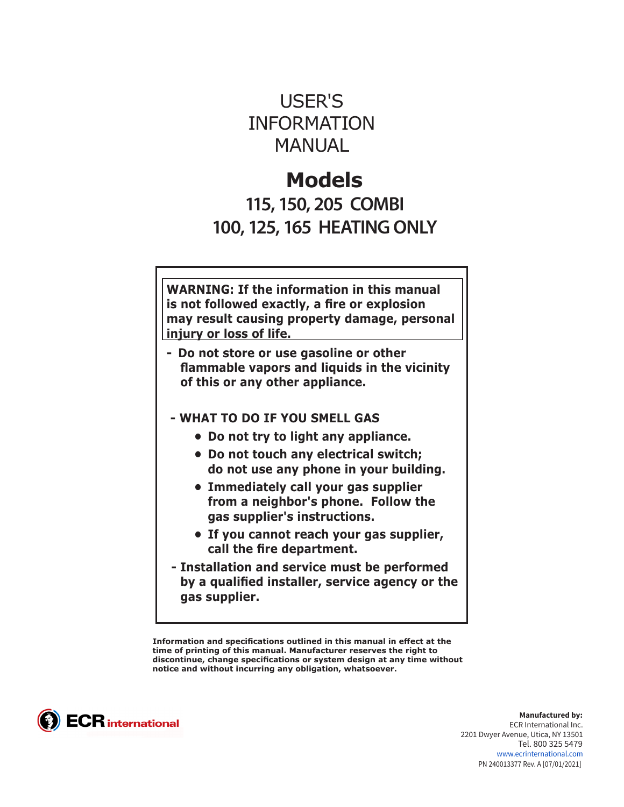# USER'S INFORMATION **MANUAL**

# **Models**

**115, 150, 205 COMBI 100, 125, 165 HEATING ONLY**

**WARNING: If the information in this manual is not followed exactly, a fire or explosion may result causing property damage, personal injury or loss of life.**

- **Do not store or use gasoline or other flammable vapors and liquids in the vicinity of this or any other appliance.**
- **WHAT TO DO IF YOU SMELL GAS** 
	- **• Do not try to light any appliance.**
	- **• Do not touch any electrical switch; do not use any phone in your building.**
	- **• Immediately call your gas supplier from a neighbor's phone. Follow the gas supplier's instructions.**
	- **• If you cannot reach your gas supplier, call the fire department.**
- **Installation and service must be performed by a qualified installer, service agency or the gas supplier.**

**Information and specifications outlined in this manual in effect at the time of printing of this manual. Manufacturer reserves the right to discontinue, change specifications or system design at any time without notice and without incurring any obligation, whatsoever.**



**Manufactured by:** ECR International Inc. 2201 Dwyer Avenue, Utica, NY 13501 Tel. 800 325 5479 www.ecrinternational.com PN 240013377 Rev. A [07/01/2021]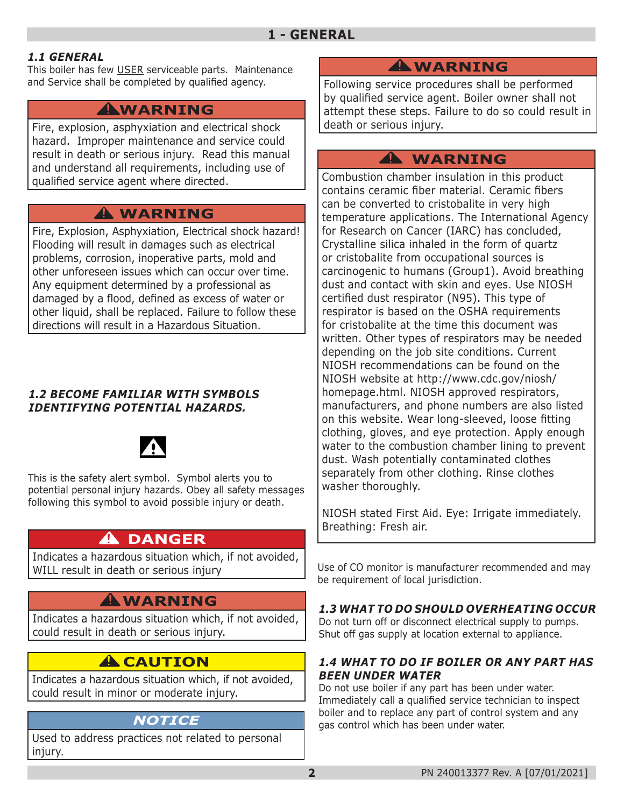#### *1.1 GENERAL*

This boiler has few USER serviceable parts. Maintenance and Service shall be completed by qualified agency.

## **WARNING !**

Fire, explosion, asphyxiation and electrical shock hazard. Improper maintenance and service could result in death or serious injury. Read this manual and understand all requirements, including use of qualified service agent where directed.

# **WARNING !**

Fire, Explosion, Asphyxiation, Electrical shock hazard! Flooding will result in damages such as electrical problems, corrosion, inoperative parts, mold and other unforeseen issues which can occur over time. Any equipment determined by a professional as damaged by a flood, defined as excess of water or other liquid, shall be replaced. Failure to follow these directions will result in a Hazardous Situation.

#### *1.2 BECOME FAMILIAR WITH SYMBOLS IDENTIFYING POTENTIAL HAZARDS.*



This is the safety alert symbol. Symbol alerts you to potential personal injury hazards. Obey all safety messages following this symbol to avoid possible injury or death.

# **DANGER !**

Indicates a hazardous situation which, if not avoided, WILL result in death or serious injury

# **WARNING !**

Indicates a hazardous situation which, if not avoided, could result in death or serious injury.

# **A** CAUTION

Indicates a hazardous situation which, if not avoided, could result in minor or moderate injury.

## *NOTICE*

Used to address practices not related to personal injury.

# **WARNING !**

Following service procedures shall be performed by qualified service agent. Boiler owner shall not attempt these steps. Failure to do so could result in death or serious injury.

## **WARNING !**

Combustion chamber insulation in this product contains ceramic fiber material. Ceramic fibers can be converted to cristobalite in very high temperature applications. The International Agency for Research on Cancer (IARC) has concluded, Crystalline silica inhaled in the form of quartz or cristobalite from occupational sources is carcinogenic to humans (Group1). Avoid breathing dust and contact with skin and eyes. Use NIOSH certified dust respirator (N95). This type of respirator is based on the OSHA requirements for cristobalite at the time this document was written. Other types of respirators may be needed depending on the job site conditions. Current NIOSH recommendations can be found on the NIOSH website at http://www.cdc.gov/niosh/ homepage.html. NIOSH approved respirators, manufacturers, and phone numbers are also listed on this website. Wear long-sleeved, loose fitting clothing, gloves, and eye protection. Apply enough water to the combustion chamber lining to prevent dust. Wash potentially contaminated clothes separately from other clothing. Rinse clothes washer thoroughly.

NIOSH stated First Aid. Eye: Irrigate immediately. Breathing: Fresh air.

Use of CO monitor is manufacturer recommended and may be requirement of local jurisdiction.

#### *1.3 WHAT TO DO SHOULD OVERHEATING OCCUR*

Do not turn off or disconnect electrical supply to pumps. Shut off gas supply at location external to appliance.

#### *1.4 WHAT TO DO IF BOILER OR ANY PART HAS BEEN UNDER WATER*

Do not use boiler if any part has been under water. Immediately call a qualified service technician to inspect boiler and to replace any part of control system and any gas control which has been under water.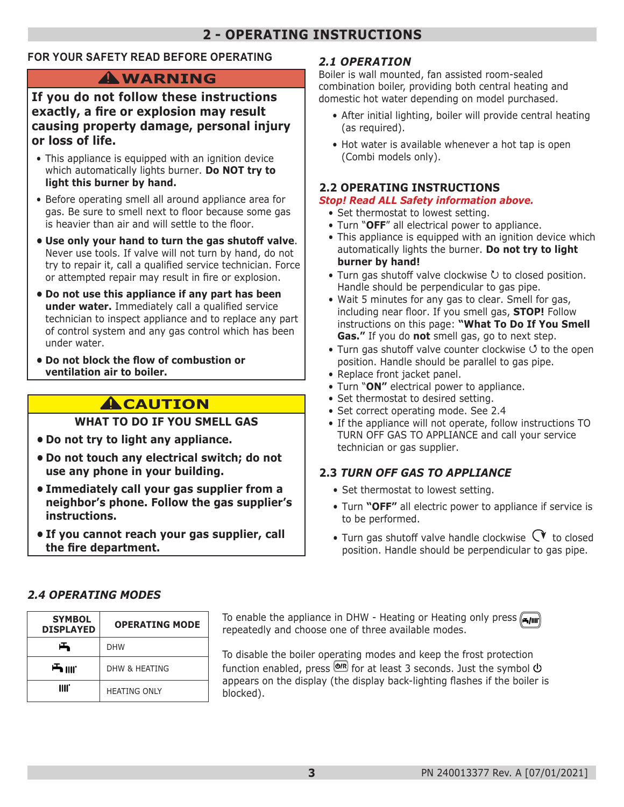# **2 - OPERATING INSTRUCTIONS**

#### **FOR YOUR SAFETY READ BEFORE OPERATING**

## **WARNING !**

#### **If you do not follow these instructions exactly, a fire or explosion may result causing property damage, personal injury or loss of life.**

- This appliance is equipped with an ignition device which automatically lights burner. **Do NOT try to light this burner by hand.**
- Before operating smell all around appliance area for gas. Be sure to smell next to floor because some gas is heavier than air and will settle to the floor.
- **• Use only your hand to turn the gas shutoff valve**. Never use tools. If valve will not turn by hand, do not try to repair it, call a qualified service technician. Force or attempted repair may result in fire or explosion.
- **• Do not use this appliance if any part has been under water.** Immediately call a qualified service technician to inspect appliance and to replace any part of control system and any gas control which has been under water.
- **• Do not block the flow of combustion or ventilation air to boiler.**

# **A**CAUTION

#### **WHAT TO DO IF YOU SMELL GAS**

- **• Do not try to light any appliance.**
- **• Do not touch any electrical switch; do not use any phone in your building.**
- **• Immediately call your gas supplier from a neighbor's phone. Follow the gas supplier's instructions.**
- **• If you cannot reach your gas supplier, call the fire department.**

#### *2.1 OPERATION*

Boiler is wall mounted, fan assisted room-sealed combination boiler, providing both central heating and domestic hot water depending on model purchased.

- After initial lighting, boiler will provide central heating (as required).
- Hot water is available whenever a hot tap is open (Combi models only).

#### **2.2 OPERATING INSTRUCTIONS**

#### *Stop! Read ALL Safety information above.*

- Set thermostat to lowest setting.
- Turn "**OFF**" all electrical power to appliance.
- This appliance is equipped with an ignition device which automatically lights the burner. **Do not try to light burner by hand!**
- Turn gas shutoff valve clockwise  $U$  to closed position. Handle should be perpendicular to gas pipe.
- Wait 5 minutes for any gas to clear. Smell for gas, including near floor. If you smell gas, **STOP!** Follow instructions on this page: **"What To Do If You Smell Gas."** If you do **not** smell gas, go to next step.
- Turn gas shutoff valve counter clockwise  $\circ$  to the open position. Handle should be parallel to gas pipe.
- Replace front jacket panel.
- Turn "**ON"** electrical power to appliance.
- Set thermostat to desired setting.
- Set correct operating mode. See 2.4
- If the appliance will not operate, follow instructions TO TURN OFF GAS TO APPLIANCE and call your service technician or gas supplier.

#### **2.3** *TURN OFF GAS TO APPLIANCE*

- Set thermostat to lowest setting.
- Turn **"OFF"** all electric power to appliance if service is to be performed.
- Turn gas shutoff valve handle clockwise  $\mathbb{C}^{\blacktriangledown}$  to closed position. Handle should be perpendicular to gas pipe.

#### *2.4 OPERATING MODES*

| <b>SYMBOL</b>    | <b>OPERATING MODE</b> |  |
|------------------|-----------------------|--|
| <b>DISPLAYED</b> |                       |  |
| 凸                | <b>DHW</b>            |  |
| <b>一</b> IIII.   | DHW & HFATING         |  |
| IIII.            | <b>HEATING ONLY</b>   |  |

**To enable the appliance in DHW - Heating or Heating only press <b>Figure** repeatedly and choose one of three available modes.

To disable the boiler operating modes and keep the frost protection function enabled, press  $\overline{\text{O}^{(R)}}$  for at least 3 seconds. Just the symbol  $\overline{\text{O}}$ appears on the display (the display back-lighting flashes if the boiler is blocked).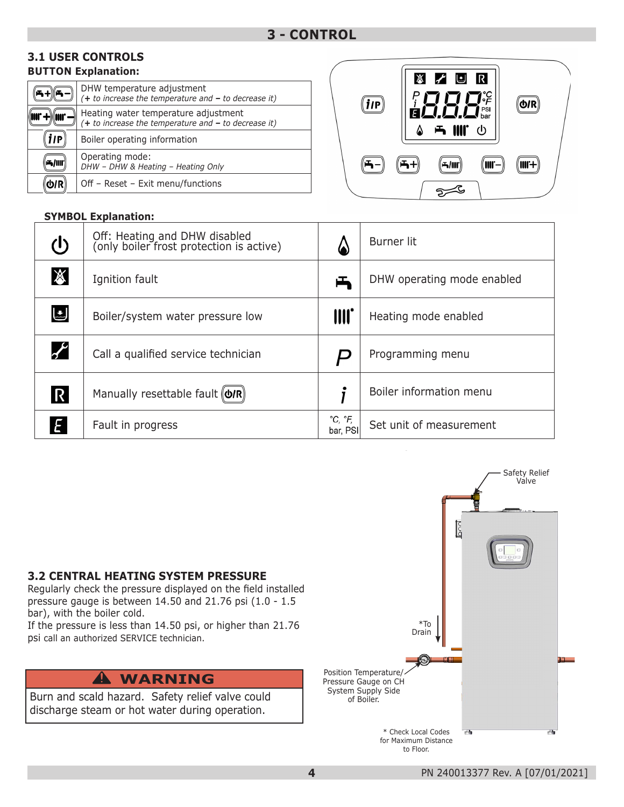#### **BUTTON Explanation: 3.1 USER CONTROLS**

|       | DHW temperature adjustment<br>$(+ to increase the temperature and - to decrease it)$           |
|-------|------------------------------------------------------------------------------------------------|
|       | Heating water temperature adjustment<br>$(+ to increase the temperature and - to decrease it)$ |
| i I P | Boiler operating information                                                                   |
|       | Operating mode:<br>DHW - DHW & Heating - Heating Only                                          |
|       | Off - Reset - Exit menu/functions                                                              |



| İlP | <i>ドし</i><br>百二 |       |
|-----|-----------------|-------|
|     | <b>ニ/IIII</b>   | llli+ |

| (l)                        | Off: Heating and DHW disabled<br>(only boiler frost protection is active) | 6                                   | <b>Burner lit</b>          |
|----------------------------|---------------------------------------------------------------------------|-------------------------------------|----------------------------|
| $\mathbb{X}$               | Ignition fault                                                            | 凸                                   | DHW operating mode enabled |
| し                          | Boiler/system water pressure low                                          | III.                                | Heating mode enabled       |
| $\boldsymbol{\mathcal{f}}$ | Call a qualified service technician                                       |                                     | Programming menu           |
| $\overline{R}$             | Manually resettable fault $\left(\frac{d}{R}\right)$                      |                                     | Boiler information menu    |
|                            | Fault in progress                                                         | $^{\circ}C, ^{\circ}F,$<br>bar, PSI | Set unit of measurement    |

#### **3.2 CENTRAL HEATING SYSTEM PRESSURE**

Regularly check the pressure displayed on the field installed pressure gauge is between 14.50 and 21.76 psi (1.0 - 1.5 bar), with the boiler cold.

If the pressure is less than 14.50 psi, or higher than 21.76 psi call an authorized SERVICE technician.

## **WARNING !**

Burn and scald hazard. Safety relief valve could discharge steam or hot water during operation.

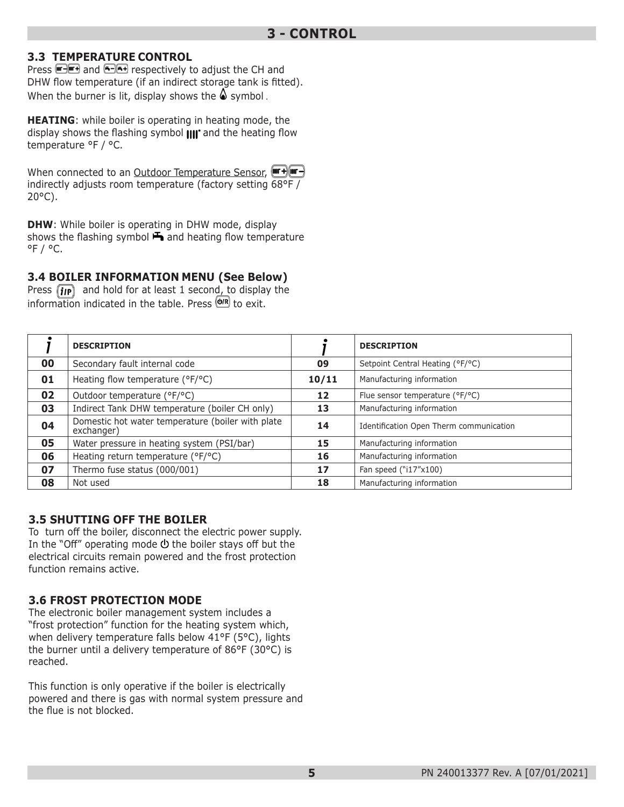#### **3.3 TEMPERATURE CONTROL**

Press **and and 6-6+** respectively to adjust the CH and DHW flow temperature (if an indirect storage tank is fitted). When the burner is lit, display shows the  $\triangle$  symbol.

**HEATING**: while boiler is operating in heating mode, the display shows the flashing symbol  $\text{III}^*$  and the heating flow temperature °F / °C.

When connected to an Outdoor Temperature Sensor, (Form +) (The H) indirectly adjusts room temperature (factory setting 68°F / 20°C).

**DHW**: While boiler is operating in DHW mode, display shows the flashing symbol  $\blacktriangleright$  and heating flow temperature  $^{\circ}$ F /  $^{\circ}$ C.

#### **3.4 BOILER INFORMATION MENU (See Below)**

Press  $\left(\mathbf{i}\mathbf{p}\right)$  and hold for at least 1 second, to display the information indicated in the table. Press  $\overline{\text{Q/R}}$  to exit.

|    | <b>DESCRIPTION</b>                                              |       | <b>DESCRIPTION</b>                      |
|----|-----------------------------------------------------------------|-------|-----------------------------------------|
| 00 | Secondary fault internal code                                   | 09    | Setpoint Central Heating (°F/°C)        |
| 01 | Heating flow temperature (°F/°C)                                | 10/11 | Manufacturing information               |
| 02 | Outdoor temperature (°F/°C)                                     | 12    | Flue sensor temperature (°F/°C)         |
| 03 | Indirect Tank DHW temperature (boiler CH only)                  | 13    | Manufacturing information               |
| 04 | Domestic hot water temperature (boiler with plate<br>exchanger) | 14    | Identification Open Therm communication |
| 05 | Water pressure in heating system (PSI/bar)                      | 15    | Manufacturing information               |
| 06 | Heating return temperature (°F/°C)                              | 16    | Manufacturing information               |
| 07 | Thermo fuse status (000/001)                                    | 17    | Fan speed ("i17"x100)                   |
| 08 | Not used                                                        | 18    | Manufacturing information               |

#### **3.5 SHUTTING OFF THE BOILER**

To turn off the boiler, disconnect the electric power supply. In the "Off" operating mode  $\Phi$  the boiler stays off but the electrical circuits remain powered and the frost protection function remains active.

#### **3.6 FROST PROTECTION MODE**

The electronic boiler management system includes a "frost protection" function for the heating system which, when delivery temperature falls below 41°F (5°C), lights the burner until a delivery temperature of 86°F (30°C) is reached.

This function is only operative if the boiler is electrically powered and there is gas with normal system pressure and the flue is not blocked.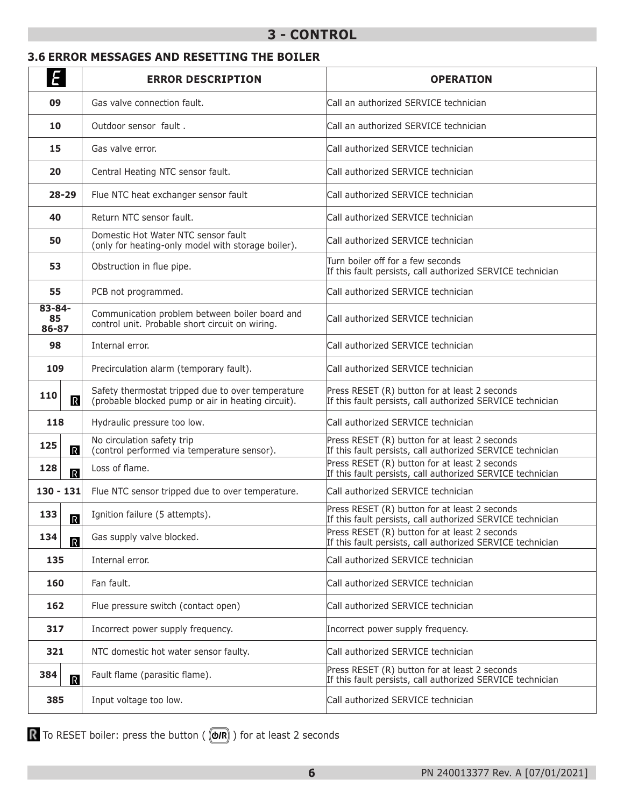### **3 - CONTROL**

#### **3.6 ERROR MESSAGES AND RESETTING THE BOILER**

| Ε                              | <b>ERROR DESCRIPTION</b>                                                                                | <b>OPERATION</b>                                                                                            |
|--------------------------------|---------------------------------------------------------------------------------------------------------|-------------------------------------------------------------------------------------------------------------|
| 09                             | Gas valve connection fault.                                                                             | Call an authorized SERVICE technician                                                                       |
| 10                             | Outdoor sensor fault.                                                                                   | Call an authorized SERVICE technician                                                                       |
| 15                             | Gas valve error.                                                                                        | Call authorized SERVICE technician                                                                          |
| 20                             | Central Heating NTC sensor fault.                                                                       | Call authorized SERVICE technician                                                                          |
| $28 - 29$                      | Flue NTC heat exchanger sensor fault                                                                    | Call authorized SERVICE technician                                                                          |
| 40                             | Return NTC sensor fault.                                                                                | Call authorized SERVICE technician                                                                          |
| 50                             | Domestic Hot Water NTC sensor fault<br>(only for heating-only model with storage boiler).               | Call authorized SERVICE technician                                                                          |
| 53                             | Obstruction in flue pipe.                                                                               | Turn boiler off for a few seconds<br>If this fault persists, call authorized SERVICE technician             |
| 55                             | PCB not programmed.                                                                                     | Call authorized SERVICE technician                                                                          |
| $83 - 84 -$<br>85<br>86-87     | Communication problem between boiler board and<br>control unit. Probable short circuit on wiring.       | Call authorized SERVICE technician                                                                          |
| 98                             | Internal error.                                                                                         | Call authorized SERVICE technician                                                                          |
| 109                            | Precirculation alarm (temporary fault).                                                                 | Call authorized SERVICE technician                                                                          |
| 110<br>$\mathbb{R}$            | Safety thermostat tripped due to over temperature<br>(probable blocked pump or air in heating circuit). | Press RESET (R) button for at least 2 seconds<br>If this fault persists, call authorized SERVICE technician |
| 118                            | Hydraulic pressure too low.                                                                             | Call authorized SERVICE technician                                                                          |
| 125<br>$\mathbb R$             | No circulation safety trip<br>(control performed via temperature sensor).                               | Press RESET (R) button for at least 2 seconds<br>If this fault persists, call authorized SERVICE technician |
| 128<br>$\overline{R}$          | Loss of flame.                                                                                          | Press RESET (R) button for at least 2 seconds<br>If this fault persists, call authorized SERVICE technician |
| $130 - 131$                    | Flue NTC sensor tripped due to over temperature.                                                        | Call authorized SERVICE technician                                                                          |
| 133<br>$\overline{\mathbb{R}}$ | Ignition failure (5 attempts).                                                                          | Press RESET (R) button for at least 2 seconds<br>If this fault persists, call authorized SERVICE technician |
| 134<br>$\overline{\mathbb{R}}$ | Gas supply valve blocked.                                                                               | Press RESET (R) button for at least 2 seconds<br>If this fault persists, call authorized SERVICE technician |
| 135                            | Internal error.                                                                                         | Call authorized SERVICE technician                                                                          |
| 160                            | Fan fault.                                                                                              | Call authorized SERVICE technician                                                                          |
| 162                            | Flue pressure switch (contact open)                                                                     | Call authorized SERVICE technician                                                                          |
| 317                            | Incorrect power supply frequency.                                                                       | Incorrect power supply frequency.                                                                           |
| 321                            | NTC domestic hot water sensor faulty.                                                                   | Call authorized SERVICE technician                                                                          |
| 384<br>$\overline{\mathbb{R}}$ | Fault flame (parasitic flame).                                                                          | Press RESET (R) button for at least 2 seconds<br>If this fault persists, call authorized SERVICE technician |
| 385                            | Input voltage too low.                                                                                  | Call authorized SERVICE technician                                                                          |

To RESET boiler: press the button ( $($   $\circledR$ ) for at least 2 seconds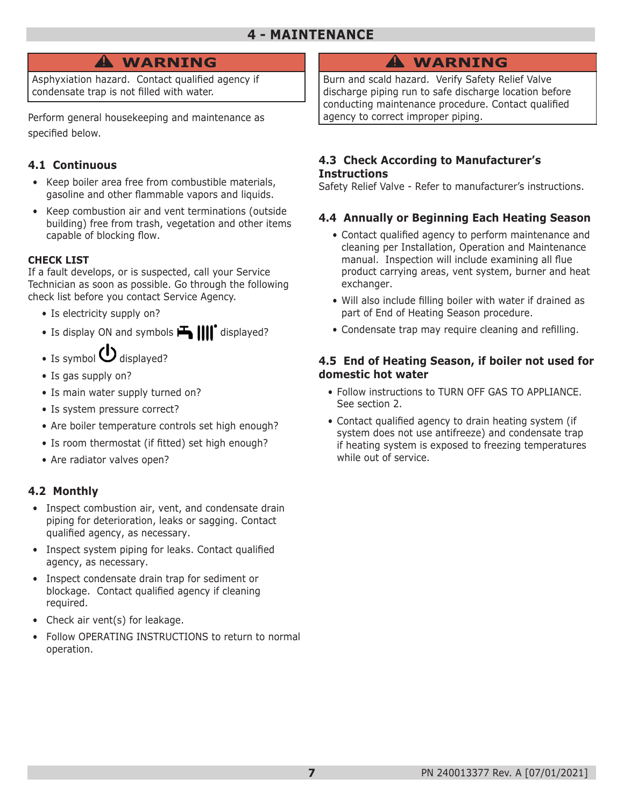### **4 - MAINTENANCE**

## **WARNING !**

Asphyxiation hazard. Contact qualified agency if condensate trap is not filled with water.

Perform general housekeeping and maintenance as specified below.

#### **4.1 Continuous**

- Keep boiler area free from combustible materials, gasoline and other flammable vapors and liquids.
- Keep combustion air and vent terminations (outside building) free from trash, vegetation and other items capable of blocking flow.

#### **CHECK LIST**

If a fault develops, or is suspected, call your Service Technician as soon as possible. Go through the following check list before you contact Service Agency.

- Is electricity supply on?
- Is display ON and symbols  $\mathbf{H}$   $\text{||} \text{||}^{\bullet}$  displayed?
- Is symbol  $\bigcup$  displayed?
- Is gas supply on?
- Is main water supply turned on?
- Is system pressure correct?
- Are boiler temperature controls set high enough?
- Is room thermostat (if fitted) set high enough?
- Are radiator valves open?

#### **4.2 Monthly**

- Inspect combustion air, vent, and condensate drain piping for deterioration, leaks or sagging. Contact qualified agency, as necessary.
- Inspect system piping for leaks. Contact qualified agency, as necessary.
- Inspect condensate drain trap for sediment or blockage. Contact qualified agency if cleaning required.
- Check air vent(s) for leakage.
- Follow OPERATING INSTRUCTIONS to return to normal operation.

# **WARNING !**

Burn and scald hazard. Verify Safety Relief Valve discharge piping run to safe discharge location before conducting maintenance procedure. Contact qualified agency to correct improper piping.

#### **4.3 Check According to Manufacturer's Instructions**

Safety Relief Valve - Refer to manufacturer's instructions.

#### **4.4 Annually or Beginning Each Heating Season**

- Contact qualified agency to perform maintenance and cleaning per Installation, Operation and Maintenance manual. Inspection will include examining all flue product carrying areas, vent system, burner and heat exchanger.
- Will also include filling boiler with water if drained as part of End of Heating Season procedure.
- Condensate trap may require cleaning and refilling.

#### **4.5 End of Heating Season, if boiler not used for domestic hot water**

- Follow instructions to TURN OFF GAS TO APPLIANCE. See section 2.
- Contact qualified agency to drain heating system (if system does not use antifreeze) and condensate trap if heating system is exposed to freezing temperatures while out of service.